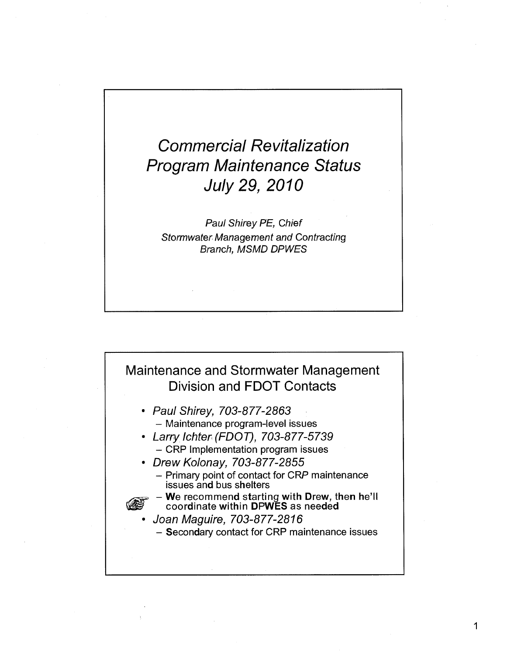## Commercial Revitalization Program Maintenance Status July 29, 2010

Paul Shirey PE, Chief Stormwater Management and Contracting Branch, MSMD DPWES

## Maintenance and Stormwater Management Division and FDOT Contacts

- Paul Shirey, 703-877-2863 - Maintenance program-level issues
- Larry Ichter (FDOT), 703-877-5739 - CRP Implementation program issues
- Drew Kolonay, 703-877-2855
	- Primary point of contact for CRP maintenance issues and bus shelters
	- **^gl= > We recommend starting with Drew, then he'll**  coordinate within DPWES as needed
	- Joan Maguire, 703-877-2816
		- Secondary contact for CRP maintenance issues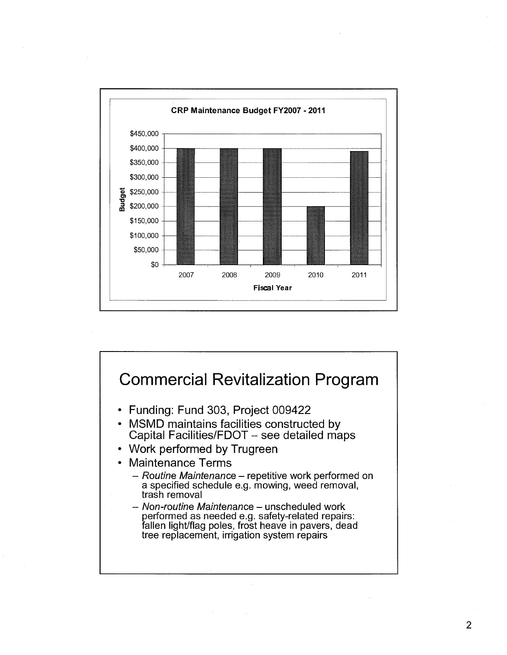

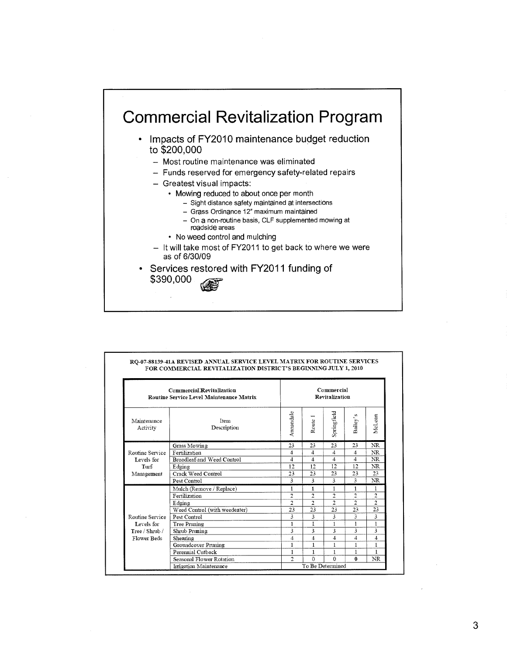## Commercial Revitalization Program

- Impacts of FY2010 maintenance budget reduction to \$200,000
	- Most routine maintenance was eliminated
	- Funds reserved for emergency safety-related repairs
	- Greatest visual impacts:
		- Mowing reduced to about once per month
			- Sight distance safety maintained at intersections
			- Grass Ordinance 12" maximum maintained
			- On a non-routine basis, CLF supplemented mowing at roadside areas
		- No weed control and mulching
	- It will take most of FY2011 to get back to where we were as of 6/30/09
- Services restored with FY2011 funding of \$390,000

| Commercial Revitalization<br><b>Routine Service Level Maintenance Matrix</b> |                               | Commercial<br>Revitalization |                         |                |                |                |  |
|------------------------------------------------------------------------------|-------------------------------|------------------------------|-------------------------|----------------|----------------|----------------|--|
| Maintenance<br>Activity                                                      | <b>Item</b><br>Description    | Amandale                     | Route                   | Springfield    | Bailey's       | McLean         |  |
| Routine Service<br>Levels for<br>Turf<br>Management                          | <b>Grass Mowing</b>           | 23                           | 23                      | 23             | 23             | NR.            |  |
|                                                                              | Fertilization                 | 4                            | 4                       | 4              | 4              | <b>NR</b>      |  |
|                                                                              | Broadleaf and Weed Control    | 4                            | $\boldsymbol{\Delta}$   | $\mathbf{A}$   | 4              | NR             |  |
|                                                                              | Edging                        | 12                           | 12                      | 12             | 12             | NR             |  |
|                                                                              | Crack Weed Control            | 23                           | 23                      | 23             | 23             | 23             |  |
|                                                                              | Pest Control                  | 3                            | 3                       | 3              | 3              | NR             |  |
| Routine Service                                                              | Mulch (Remove / Replace)      | 1                            | $\mathbf{f}$            | 1              | 1              | 1              |  |
|                                                                              | Fertilization                 | $\overline{2}$               | $\overline{2}$          | $\overline{2}$ | n,             | $\overline{2}$ |  |
|                                                                              | Edging                        | $\overline{2}$               | $\overline{c}$          | $\overline{2}$ | $\overline{2}$ | $\overline{2}$ |  |
|                                                                              | Weed Control (with weedeater) | 23                           | 23                      | 23             | 23             | 23             |  |
|                                                                              | Pest Control                  | 3                            | 3                       | 3              | 3              | 3              |  |
| Levels for                                                                   | Tree Pruning                  | $\mathbf{1}$                 | I                       | 1              | 1              | 1              |  |
| Tree / Shrub /                                                               | Shrub Pruning                 | 3                            | 3                       | 3              | 3              | 3              |  |
| Flower Beds                                                                  | Shearing                      | 4                            | $\overline{\mathbf{4}}$ | 4              | $\overline{4}$ | 4              |  |
|                                                                              | Groundcover Pruning           | 1                            | 1                       | 1              | 1              | 1              |  |
|                                                                              | Perennial Cutback             | 1                            | 1                       | 1              | 1              | 1              |  |
|                                                                              | Seasonal Flower Rotation      | $\mathfrak{D}$               | Ō                       | $\Omega$       | $\Omega$       | NR             |  |
|                                                                              | Irrigation Maintenance        |                              | To Be Determined        |                |                |                |  |